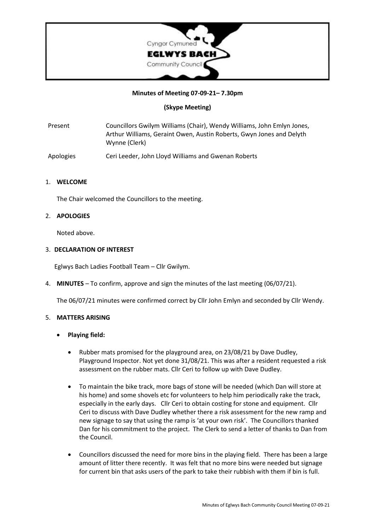

#### **Minutes of Meeting 07-09-21– 7.30pm**

# **(Skype Meeting)**

Present Councillors Gwilym Williams (Chair), Wendy Williams, John Emlyn Jones, Arthur Williams, Geraint Owen, Austin Roberts, Gwyn Jones and Delyth Wynne (Clerk)

Apologies Ceri Leeder, John Lloyd Williams and Gwenan Roberts

#### 1. **WELCOME**

The Chair welcomed the Councillors to the meeting.

# 2. **APOLOGIES**

Noted above.

#### 3. **DECLARATION OF INTEREST**

Eglwys Bach Ladies Football Team – Cllr Gwilym.

4. **MINUTES** – To confirm, approve and sign the minutes of the last meeting (06/07/21).

The 06/07/21 minutes were confirmed correct by Cllr John Emlyn and seconded by Cllr Wendy.

#### 5. **MATTERS ARISING**

- **Playing field:**
	- Rubber mats promised for the playground area, on 23/08/21 by Dave Dudley, Playground Inspector. Not yet done 31/08/21. This was after a resident requested a risk assessment on the rubber mats. Cllr Ceri to follow up with Dave Dudley.
	- To maintain the bike track, more bags of stone will be needed (which Dan will store at his home) and some shovels etc for volunteers to help him periodically rake the track, especially in the early days. Cllr Ceri to obtain costing for stone and equipment. Cllr Ceri to discuss with Dave Dudley whether there a risk assessment for the new ramp and new signage to say that using the ramp is 'at your own risk'. The Councillors thanked Dan for his commitment to the project. The Clerk to send a letter of thanks to Dan from the Council.
	- Councillors discussed the need for more bins in the playing field. There has been a large amount of litter there recently. It was felt that no more bins were needed but signage for current bin that asks users of the park to take their rubbish with them if bin is full.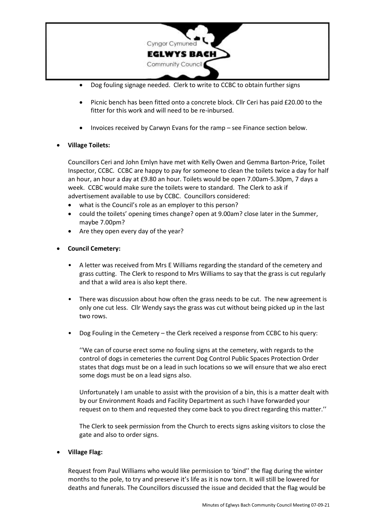

- Dog fouling signage needed. Clerk to write to CCBC to obtain further signs
- Picnic bench has been fitted onto a concrete block. Cllr Ceri has paid £20.00 to the fitter for this work and will need to be re-inbursed.
- Invoices received by Carwyn Evans for the ramp see Finance section below.

# • **Village Toilets:**

Councillors Ceri and John Emlyn have met with Kelly Owen and Gemma Barton-Price, Toilet Inspector, CCBC. CCBC are happy to pay for someone to clean the toilets twice a day for half an hour, an hour a day at £9.80 an hour. Toilets would be open 7.00am-5.30pm, 7 days a week. CCBC would make sure the toilets were to standard. The Clerk to ask if advertisement available to use by CCBC. Councillors considered:

- what is the Council's role as an employer to this person?
- could the toilets' opening times change? open at 9.00am? close later in the Summer, maybe 7.00pm?
- Are they open every day of the year?
- **Council Cemetery:**
	- A letter was received from Mrs E Williams regarding the standard of the cemetery and grass cutting. The Clerk to respond to Mrs Williams to say that the grass is cut regularly and that a wild area is also kept there.
	- There was discussion about how often the grass needs to be cut. The new agreement is only one cut less. Cllr Wendy says the grass was cut without being picked up in the last two rows.
	- Dog Fouling in the Cemetery the Clerk received a response from CCBC to his query:

''We can of course erect some no fouling signs at the cemetery, with regards to the control of dogs in cemeteries the current Dog Control Public Spaces Protection Order states that dogs must be on a lead in such locations so we will ensure that we also erect some dogs must be on a lead signs also.

Unfortunately I am unable to assist with the provision of a bin, this is a matter dealt with by our Environment Roads and Facility Department as such I have forwarded your request on to them and requested they come back to you direct regarding this matter.''

The Clerk to seek permission from the Church to erects signs asking visitors to close the gate and also to order signs.

• **Village Flag:**

Request from Paul Williams who would like permission to 'bind'' the flag during the winter months to the pole, to try and preserve it's life as it is now torn. It will still be lowered for deaths and funerals. The Councillors discussed the issue and decided that the flag would be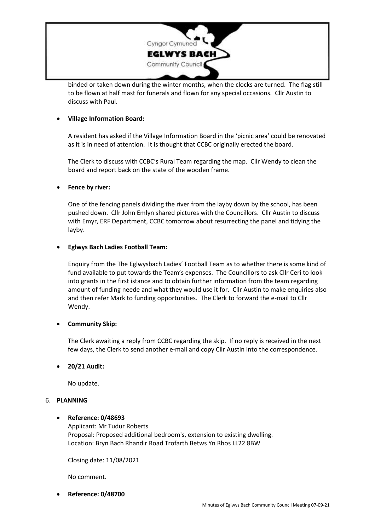

binded or taken down during the winter months, when the clocks are turned. The flag still to be flown at half mast for funerals and flown for any special occasions. Cllr Austin to discuss with Paul.

# • **Village Information Board:**

A resident has asked if the Village Information Board in the 'picnic area' could be renovated as it is in need of attention. It is thought that CCBC originally erected the board.

The Clerk to discuss with CCBC's Rural Team regarding the map. Cllr Wendy to clean the board and report back on the state of the wooden frame.

# • **Fence by river:**

One of the fencing panels dividing the river from the layby down by the school, has been pushed down. Cllr John Emlyn shared pictures with the Councillors. Cllr Austin to discuss with Emyr, ERF Department, CCBC tomorrow about resurrecting the panel and tidying the layby.

# • **Eglwys Bach Ladies Football Team:**

Enquiry from the The Eglwysbach Ladies' Football Team as to whether there is some kind of fund available to put towards the Team's expenses. The Councillors to ask Cllr Ceri to look into grants in the first istance and to obtain further information from the team regarding amount of funding neede and what they would use it for. Cllr Austin to make enquiries also and then refer Mark to funding opportunities. The Clerk to forward the e-mail to Cllr Wendy.

# • **Community Skip:**

The Clerk awaiting a reply from CCBC regarding the skip. If no reply is received in the next few days, the Clerk to send another e-mail and copy Cllr Austin into the correspondence.

#### • **20/21 Audit:**

No update.

#### 6. **PLANNING**

# • **Reference: 0/48693**

Applicant: Mr Tudur Roberts Proposal: Proposed additional bedroom's, extension to existing dwelling. Location: Bryn Bach Rhandir Road Trofarth Betws Yn Rhos LL22 8BW

Closing date: 11/08/2021

No comment.

• **Reference: 0/48700**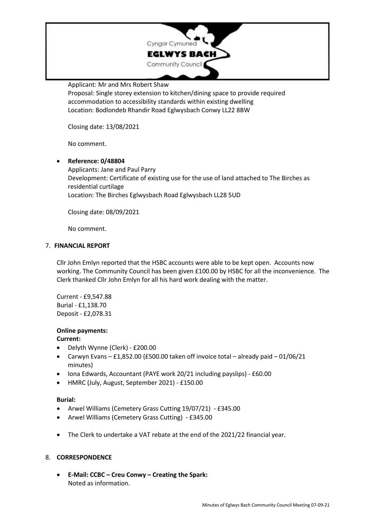

Applicant: Mr and Mrs Robert Shaw

Proposal: Single storey extension to kitchen/dining space to provide required accommodation to accessibility standards within existing dwelling Location: Bodlondeb Rhandir Road Eglwysbach Conwy LL22 8BW

Closing date: 13/08/2021

No comment.

• **Reference: 0/48804** Applicants: Jane and Paul Parry Development: Certificate of existing use for the use of land attached to The Birches as residential curtilage Location: The Birches Eglwysbach Road Eglwysbach LL28 5UD

Closing date: 08/09/2021

No comment.

# 7. **FINANCIAL REPORT**

Cllr John Emlyn reported that the HSBC accounts were able to be kept open. Accounts now working. The Community Council has been given £100.00 by HSBC for all the inconvenience. The Clerk thanked Cllr John Emlyn for all his hard work dealing with the matter.

Current - £9,547.88 Burial - £1,138.70 Deposit - £2,078.31

# **Online payments:**

# **Current:**

- Delyth Wynne (Clerk) £200.00
- Carwyn Evans £1,852.00 (£500.00 taken off invoice total already paid 01/06/21 minutes)
- Iona Edwards, Accountant (PAYE work 20/21 including payslips) £60.00
- HMRC (July, August, September 2021) £150.00

#### **Burial:**

- Arwel Williams (Cemetery Grass Cutting 19/07/21) £345.00
- Arwel Williams (Cemetery Grass Cutting) £345.00
- The Clerk to undertake a VAT rebate at the end of the 2021/22 financial year.

# 8. **CORRESPONDENCE**

• **E-Mail: CCBC – Creu Conwy – Creating the Spark:** Noted as information.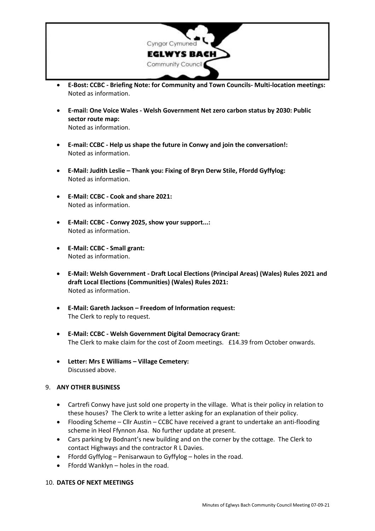

- **E-Bost: CCBC - Briefing Note: for Community and Town Councils- Multi-location meetings:** Noted as information.
- **E-mail: One Voice Wales - Welsh Government Net zero carbon status by 2030: Public sector route map:** Noted as information.
- **E-mail: CCBC - Help us shape the future in Conwy and join the conversation!:** Noted as information.
- **E-Mail: Judith Leslie – Thank you: Fixing of Bryn Derw Stile, Ffordd Gyffylog:** Noted as information.
- **E-Mail: CCBC - Cook and share 2021:** Noted as information.
- **E-Mail: CCBC - Conwy 2025, show your support...:** Noted as information.
- **E-Mail: CCBC - Small grant:** Noted as information.
- **E-Mail: Welsh Government - Draft Local Elections (Principal Areas) (Wales) Rules 2021 and draft Local Elections (Communities) (Wales) Rules 2021:** Noted as information.
- **E-Mail: Gareth Jackson – Freedom of Information request:** The Clerk to reply to request.
- **E-Mail: CCBC - Welsh Government Digital Democracy Grant:** The Clerk to make claim for the cost of Zoom meetings. £14.39 from October onwards.
- **Letter: Mrs E Williams – Village Cemetery:** Discussed above.

#### 9. **ANY OTHER BUSINESS**

- Cartrefi Conwy have just sold one property in the village. What is their policy in relation to these houses? The Clerk to write a letter asking for an explanation of their policy.
- Flooding Scheme Cllr Austin CCBC have received a grant to undertake an anti-flooding scheme in Heol Ffynnon Asa. No further update at present.
- Cars parking by Bodnant's new building and on the corner by the cottage. The Clerk to contact Highways and the contractor R L Davies.
- Ffordd Gyffylog Penisarwaun to Gyffylog holes in the road.
- Ffordd Wanklyn holes in the road.

#### 10. **DATES OF NEXT MEETINGS**